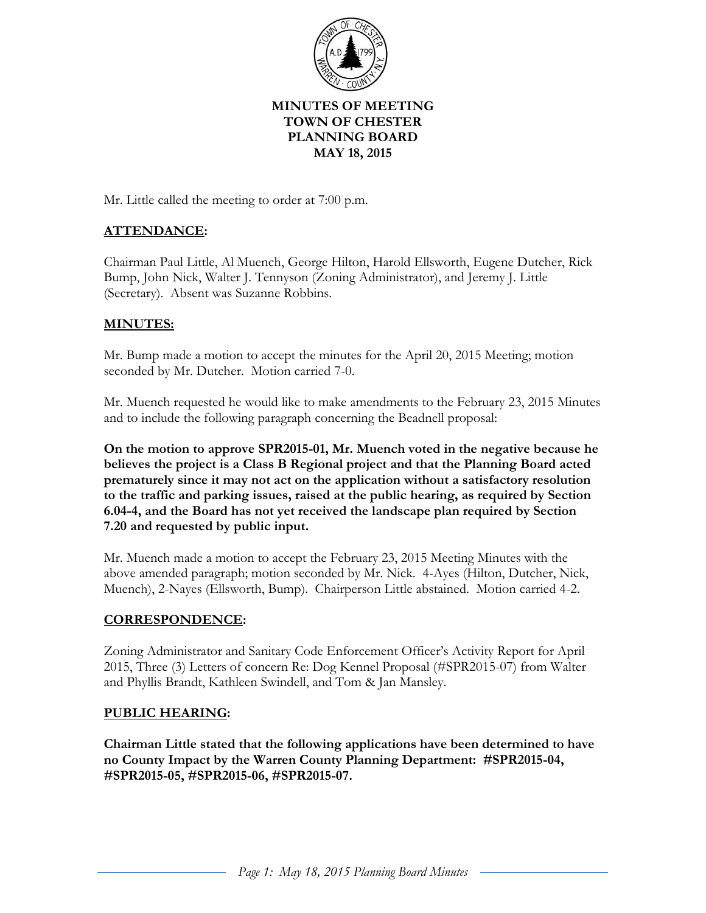

# **MINUTES OF MEETING TOWN OF CHESTER PLANNING BOARD MAY 18, 2015**

Mr. Little called the meeting to order at 7:00 p.m.

# **ATTENDANCE:**

Chairman Paul Little, Al Muench, George Hilton, Harold Ellsworth, Eugene Dutcher, Rick Bump, John Nick, Walter J. Tennyson (Zoning Administrator), and Jeremy J. Little (Secretary). Absent was Suzanne Robbins.

## **MINUTES:**

Mr. Bump made a motion to accept the minutes for the April 20, 2015 Meeting; motion seconded by Mr. Dutcher. Motion carried 7-0.

Mr. Muench requested he would like to make amendments to the February 23, 2015 Minutes and to include the following paragraph concerning the Beadnell proposal:

**On the motion to approve SPR2015-01, Mr. Muench voted in the negative because he believes the project is a Class B Regional project and that the Planning Board acted prematurely since it may not act on the application without a satisfactory resolution to the traffic and parking issues, raised at the public hearing, as required by Section 6.04-4, and the Board has not yet received the landscape plan required by Section 7.20 and requested by public input.**

Mr. Muench made a motion to accept the February 23, 2015 Meeting Minutes with the above amended paragraph; motion seconded by Mr. Nick. 4-Ayes (Hilton, Dutcher, Nick, Muench), 2-Nayes (Ellsworth, Bump). Chairperson Little abstained. Motion carried 4-2.

## **CORRESPONDENCE:**

Zoning Administrator and Sanitary Code Enforcement Officer's Activity Report for April 2015, Three (3) Letters of concern Re: Dog Kennel Proposal (#SPR2015-07) from Walter and Phyllis Brandt, Kathleen Swindell, and Tom & Jan Mansley.

## **PUBLIC HEARING:**

**Chairman Little stated that the following applications have been determined to have no County Impact by the Warren County Planning Department: #SPR2015-04, #SPR2015-05, #SPR2015-06, #SPR2015-07.**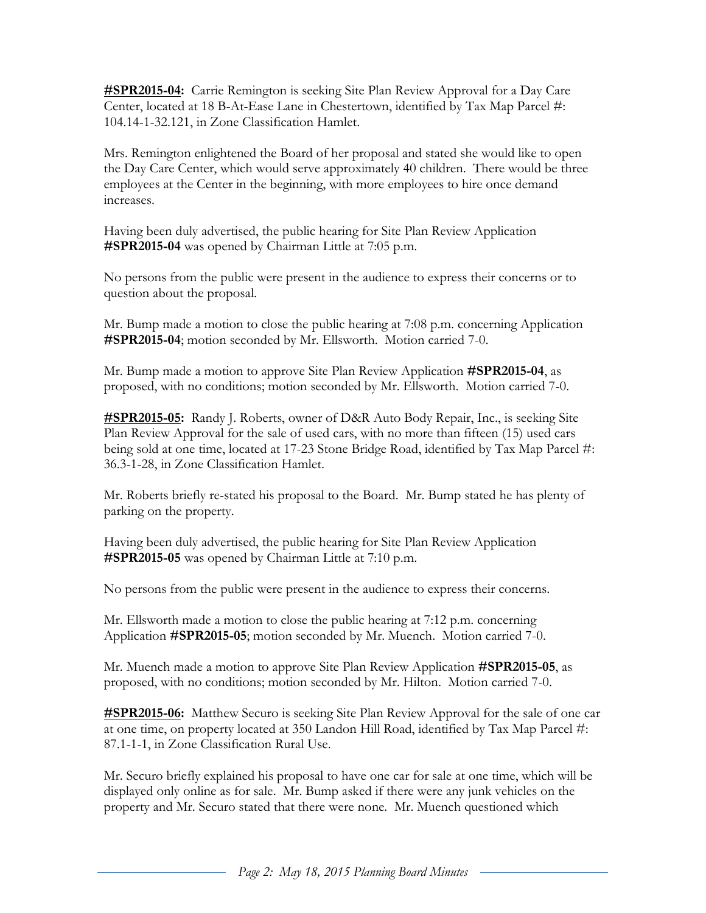**#SPR2015-04:** Carrie Remington is seeking Site Plan Review Approval for a Day Care Center, located at 18 B-At-Ease Lane in Chestertown, identified by Tax Map Parcel #: 104.14-1-32.121, in Zone Classification Hamlet.

Mrs. Remington enlightened the Board of her proposal and stated she would like to open the Day Care Center, which would serve approximately 40 children. There would be three employees at the Center in the beginning, with more employees to hire once demand increases.

Having been duly advertised, the public hearing for Site Plan Review Application **#SPR2015-04** was opened by Chairman Little at 7:05 p.m.

No persons from the public were present in the audience to express their concerns or to question about the proposal.

Mr. Bump made a motion to close the public hearing at 7:08 p.m. concerning Application **#SPR2015-04**; motion seconded by Mr. Ellsworth. Motion carried 7-0.

Mr. Bump made a motion to approve Site Plan Review Application **#SPR2015-04**, as proposed, with no conditions; motion seconded by Mr. Ellsworth. Motion carried 7-0.

**#SPR2015-05:** Randy J. Roberts, owner of D&R Auto Body Repair, Inc., is seeking Site Plan Review Approval for the sale of used cars, with no more than fifteen (15) used cars being sold at one time, located at 17-23 Stone Bridge Road, identified by Tax Map Parcel #: 36.3-1-28, in Zone Classification Hamlet.

Mr. Roberts briefly re-stated his proposal to the Board. Mr. Bump stated he has plenty of parking on the property.

Having been duly advertised, the public hearing for Site Plan Review Application **#SPR2015-05** was opened by Chairman Little at 7:10 p.m.

No persons from the public were present in the audience to express their concerns.

Mr. Ellsworth made a motion to close the public hearing at 7:12 p.m. concerning Application **#SPR2015-05**; motion seconded by Mr. Muench. Motion carried 7-0.

Mr. Muench made a motion to approve Site Plan Review Application **#SPR2015-05**, as proposed, with no conditions; motion seconded by Mr. Hilton. Motion carried 7-0.

**#SPR2015-06:** Matthew Securo is seeking Site Plan Review Approval for the sale of one car at one time, on property located at 350 Landon Hill Road, identified by Tax Map Parcel #: 87.1-1-1, in Zone Classification Rural Use.

Mr. Securo briefly explained his proposal to have one car for sale at one time, which will be displayed only online as for sale. Mr. Bump asked if there were any junk vehicles on the property and Mr. Securo stated that there were none. Mr. Muench questioned which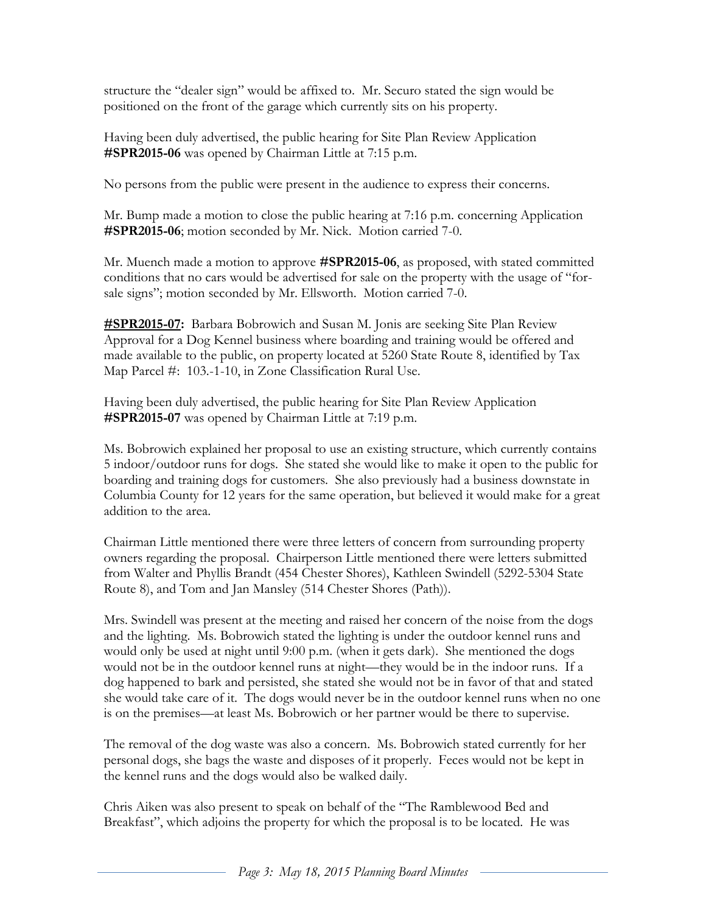structure the "dealer sign" would be affixed to. Mr. Securo stated the sign would be positioned on the front of the garage which currently sits on his property.

Having been duly advertised, the public hearing for Site Plan Review Application **#SPR2015-06** was opened by Chairman Little at 7:15 p.m.

No persons from the public were present in the audience to express their concerns.

Mr. Bump made a motion to close the public hearing at 7:16 p.m. concerning Application **#SPR2015-06**; motion seconded by Mr. Nick. Motion carried 7-0.

Mr. Muench made a motion to approve **#SPR2015-06**, as proposed, with stated committed conditions that no cars would be advertised for sale on the property with the usage of "forsale signs"; motion seconded by Mr. Ellsworth. Motion carried 7-0.

**#SPR2015-07:** Barbara Bobrowich and Susan M. Jonis are seeking Site Plan Review Approval for a Dog Kennel business where boarding and training would be offered and made available to the public, on property located at 5260 State Route 8, identified by Tax Map Parcel #: 103.-1-10, in Zone Classification Rural Use.

Having been duly advertised, the public hearing for Site Plan Review Application **#SPR2015-07** was opened by Chairman Little at 7:19 p.m.

Ms. Bobrowich explained her proposal to use an existing structure, which currently contains 5 indoor/outdoor runs for dogs. She stated she would like to make it open to the public for boarding and training dogs for customers. She also previously had a business downstate in Columbia County for 12 years for the same operation, but believed it would make for a great addition to the area.

Chairman Little mentioned there were three letters of concern from surrounding property owners regarding the proposal. Chairperson Little mentioned there were letters submitted from Walter and Phyllis Brandt (454 Chester Shores), Kathleen Swindell (5292-5304 State Route 8), and Tom and Jan Mansley (514 Chester Shores (Path)).

Mrs. Swindell was present at the meeting and raised her concern of the noise from the dogs and the lighting. Ms. Bobrowich stated the lighting is under the outdoor kennel runs and would only be used at night until 9:00 p.m. (when it gets dark). She mentioned the dogs would not be in the outdoor kennel runs at night—they would be in the indoor runs. If a dog happened to bark and persisted, she stated she would not be in favor of that and stated she would take care of it. The dogs would never be in the outdoor kennel runs when no one is on the premises—at least Ms. Bobrowich or her partner would be there to supervise.

The removal of the dog waste was also a concern. Ms. Bobrowich stated currently for her personal dogs, she bags the waste and disposes of it properly. Feces would not be kept in the kennel runs and the dogs would also be walked daily.

Chris Aiken was also present to speak on behalf of the "The Ramblewood Bed and Breakfast", which adjoins the property for which the proposal is to be located. He was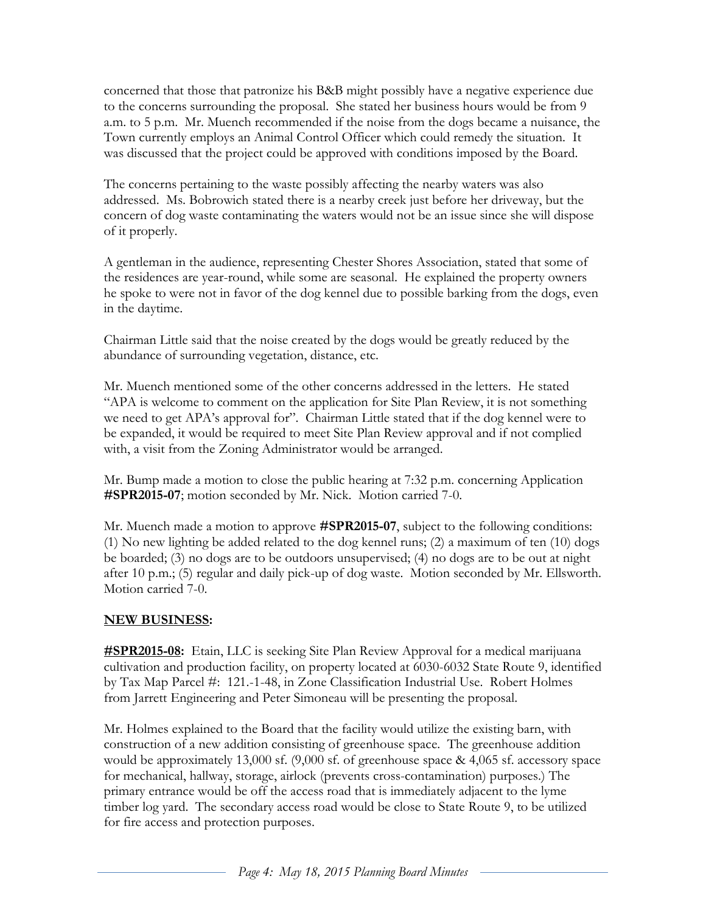concerned that those that patronize his B&B might possibly have a negative experience due to the concerns surrounding the proposal. She stated her business hours would be from 9 a.m. to 5 p.m. Mr. Muench recommended if the noise from the dogs became a nuisance, the Town currently employs an Animal Control Officer which could remedy the situation. It was discussed that the project could be approved with conditions imposed by the Board.

The concerns pertaining to the waste possibly affecting the nearby waters was also addressed. Ms. Bobrowich stated there is a nearby creek just before her driveway, but the concern of dog waste contaminating the waters would not be an issue since she will dispose of it properly.

A gentleman in the audience, representing Chester Shores Association, stated that some of the residences are year-round, while some are seasonal. He explained the property owners he spoke to were not in favor of the dog kennel due to possible barking from the dogs, even in the daytime.

Chairman Little said that the noise created by the dogs would be greatly reduced by the abundance of surrounding vegetation, distance, etc.

Mr. Muench mentioned some of the other concerns addressed in the letters. He stated "APA is welcome to comment on the application for Site Plan Review, it is not something we need to get APA's approval for". Chairman Little stated that if the dog kennel were to be expanded, it would be required to meet Site Plan Review approval and if not complied with, a visit from the Zoning Administrator would be arranged.

Mr. Bump made a motion to close the public hearing at 7:32 p.m. concerning Application **#SPR2015-07**; motion seconded by Mr. Nick. Motion carried 7-0.

Mr. Muench made a motion to approve **#SPR2015-07**, subject to the following conditions: (1) No new lighting be added related to the dog kennel runs; (2) a maximum of ten (10) dogs be boarded; (3) no dogs are to be outdoors unsupervised; (4) no dogs are to be out at night after 10 p.m.; (5) regular and daily pick-up of dog waste. Motion seconded by Mr. Ellsworth. Motion carried 7-0.

## **NEW BUSINESS:**

**#SPR2015-08:** Etain, LLC is seeking Site Plan Review Approval for a medical marijuana cultivation and production facility, on property located at 6030-6032 State Route 9, identified by Tax Map Parcel #: 121.-1-48, in Zone Classification Industrial Use. Robert Holmes from Jarrett Engineering and Peter Simoneau will be presenting the proposal.

Mr. Holmes explained to the Board that the facility would utilize the existing barn, with construction of a new addition consisting of greenhouse space. The greenhouse addition would be approximately 13,000 sf. (9,000 sf. of greenhouse space & 4,065 sf. accessory space for mechanical, hallway, storage, airlock (prevents cross-contamination) purposes.) The primary entrance would be off the access road that is immediately adjacent to the lyme timber log yard. The secondary access road would be close to State Route 9, to be utilized for fire access and protection purposes.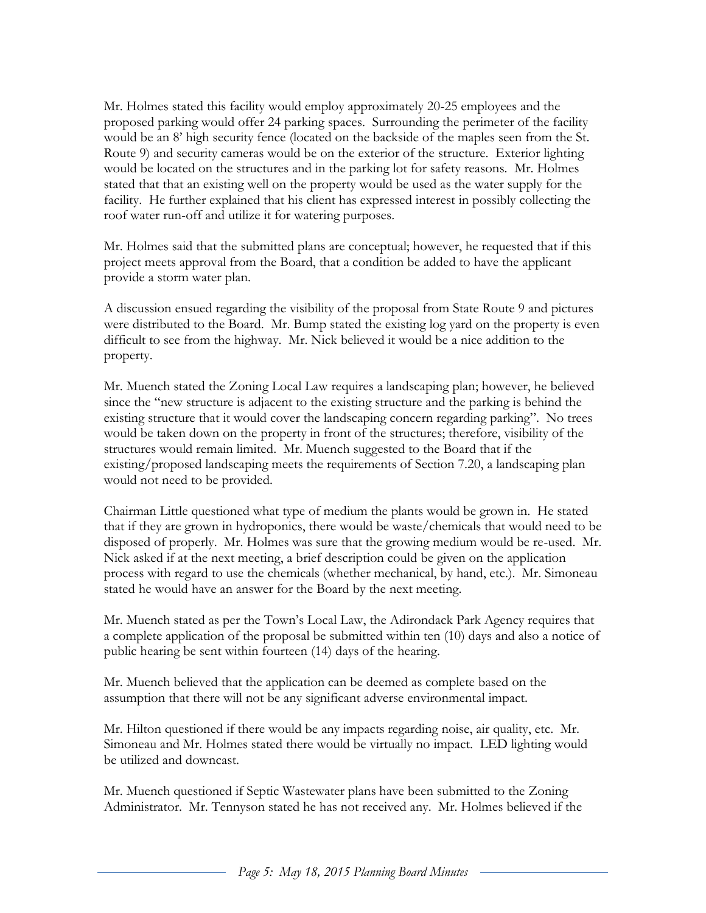Mr. Holmes stated this facility would employ approximately 20-25 employees and the proposed parking would offer 24 parking spaces. Surrounding the perimeter of the facility would be an 8' high security fence (located on the backside of the maples seen from the St. Route 9) and security cameras would be on the exterior of the structure. Exterior lighting would be located on the structures and in the parking lot for safety reasons. Mr. Holmes stated that that an existing well on the property would be used as the water supply for the facility. He further explained that his client has expressed interest in possibly collecting the roof water run-off and utilize it for watering purposes.

Mr. Holmes said that the submitted plans are conceptual; however, he requested that if this project meets approval from the Board, that a condition be added to have the applicant provide a storm water plan.

A discussion ensued regarding the visibility of the proposal from State Route 9 and pictures were distributed to the Board. Mr. Bump stated the existing log yard on the property is even difficult to see from the highway. Mr. Nick believed it would be a nice addition to the property.

Mr. Muench stated the Zoning Local Law requires a landscaping plan; however, he believed since the "new structure is adjacent to the existing structure and the parking is behind the existing structure that it would cover the landscaping concern regarding parking". No trees would be taken down on the property in front of the structures; therefore, visibility of the structures would remain limited. Mr. Muench suggested to the Board that if the existing/proposed landscaping meets the requirements of Section 7.20, a landscaping plan would not need to be provided.

Chairman Little questioned what type of medium the plants would be grown in. He stated that if they are grown in hydroponics, there would be waste/chemicals that would need to be disposed of properly. Mr. Holmes was sure that the growing medium would be re-used. Mr. Nick asked if at the next meeting, a brief description could be given on the application process with regard to use the chemicals (whether mechanical, by hand, etc.). Mr. Simoneau stated he would have an answer for the Board by the next meeting.

Mr. Muench stated as per the Town's Local Law, the Adirondack Park Agency requires that a complete application of the proposal be submitted within ten (10) days and also a notice of public hearing be sent within fourteen (14) days of the hearing.

Mr. Muench believed that the application can be deemed as complete based on the assumption that there will not be any significant adverse environmental impact.

Mr. Hilton questioned if there would be any impacts regarding noise, air quality, etc. Mr. Simoneau and Mr. Holmes stated there would be virtually no impact. LED lighting would be utilized and downcast.

Mr. Muench questioned if Septic Wastewater plans have been submitted to the Zoning Administrator. Mr. Tennyson stated he has not received any. Mr. Holmes believed if the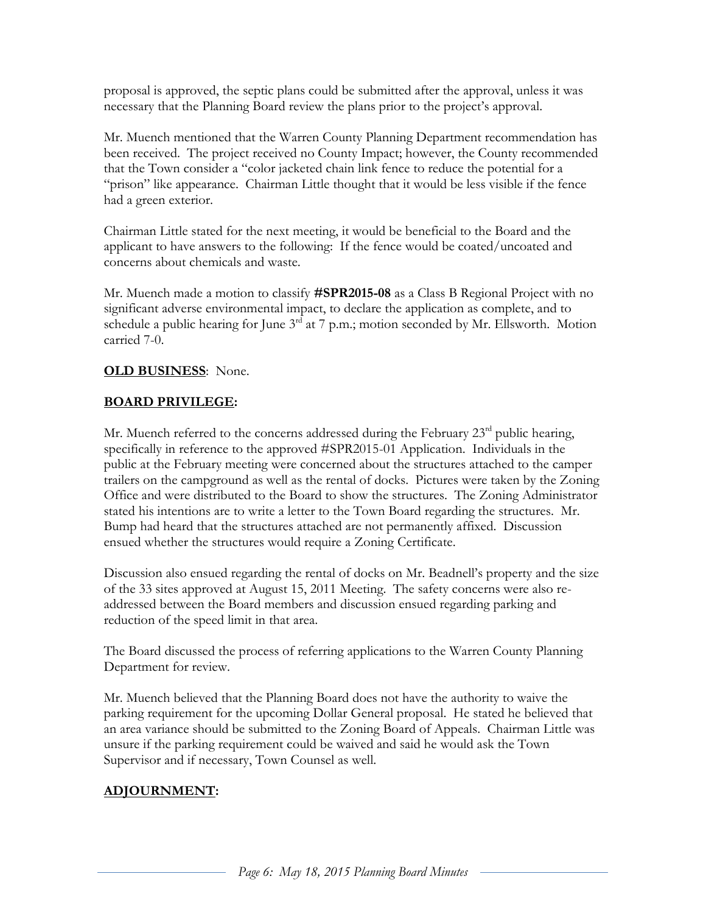proposal is approved, the septic plans could be submitted after the approval, unless it was necessary that the Planning Board review the plans prior to the project's approval.

Mr. Muench mentioned that the Warren County Planning Department recommendation has been received. The project received no County Impact; however, the County recommended that the Town consider a "color jacketed chain link fence to reduce the potential for a "prison" like appearance. Chairman Little thought that it would be less visible if the fence had a green exterior.

Chairman Little stated for the next meeting, it would be beneficial to the Board and the applicant to have answers to the following: If the fence would be coated/uncoated and concerns about chemicals and waste.

Mr. Muench made a motion to classify **#SPR2015-08** as a Class B Regional Project with no significant adverse environmental impact, to declare the application as complete, and to schedule a public hearing for June  $3^{rd}$  at 7 p.m.; motion seconded by Mr. Ellsworth. Motion carried 7-0.

#### **OLD BUSINESS**: None.

#### **BOARD PRIVILEGE:**

Mr. Muench referred to the concerns addressed during the February  $23<sup>rd</sup>$  public hearing, specifically in reference to the approved #SPR2015-01 Application. Individuals in the public at the February meeting were concerned about the structures attached to the camper trailers on the campground as well as the rental of docks. Pictures were taken by the Zoning Office and were distributed to the Board to show the structures. The Zoning Administrator stated his intentions are to write a letter to the Town Board regarding the structures. Mr. Bump had heard that the structures attached are not permanently affixed. Discussion ensued whether the structures would require a Zoning Certificate.

Discussion also ensued regarding the rental of docks on Mr. Beadnell's property and the size of the 33 sites approved at August 15, 2011 Meeting. The safety concerns were also readdressed between the Board members and discussion ensued regarding parking and reduction of the speed limit in that area.

The Board discussed the process of referring applications to the Warren County Planning Department for review.

Mr. Muench believed that the Planning Board does not have the authority to waive the parking requirement for the upcoming Dollar General proposal. He stated he believed that an area variance should be submitted to the Zoning Board of Appeals. Chairman Little was unsure if the parking requirement could be waived and said he would ask the Town Supervisor and if necessary, Town Counsel as well.

# **ADJOURNMENT:**